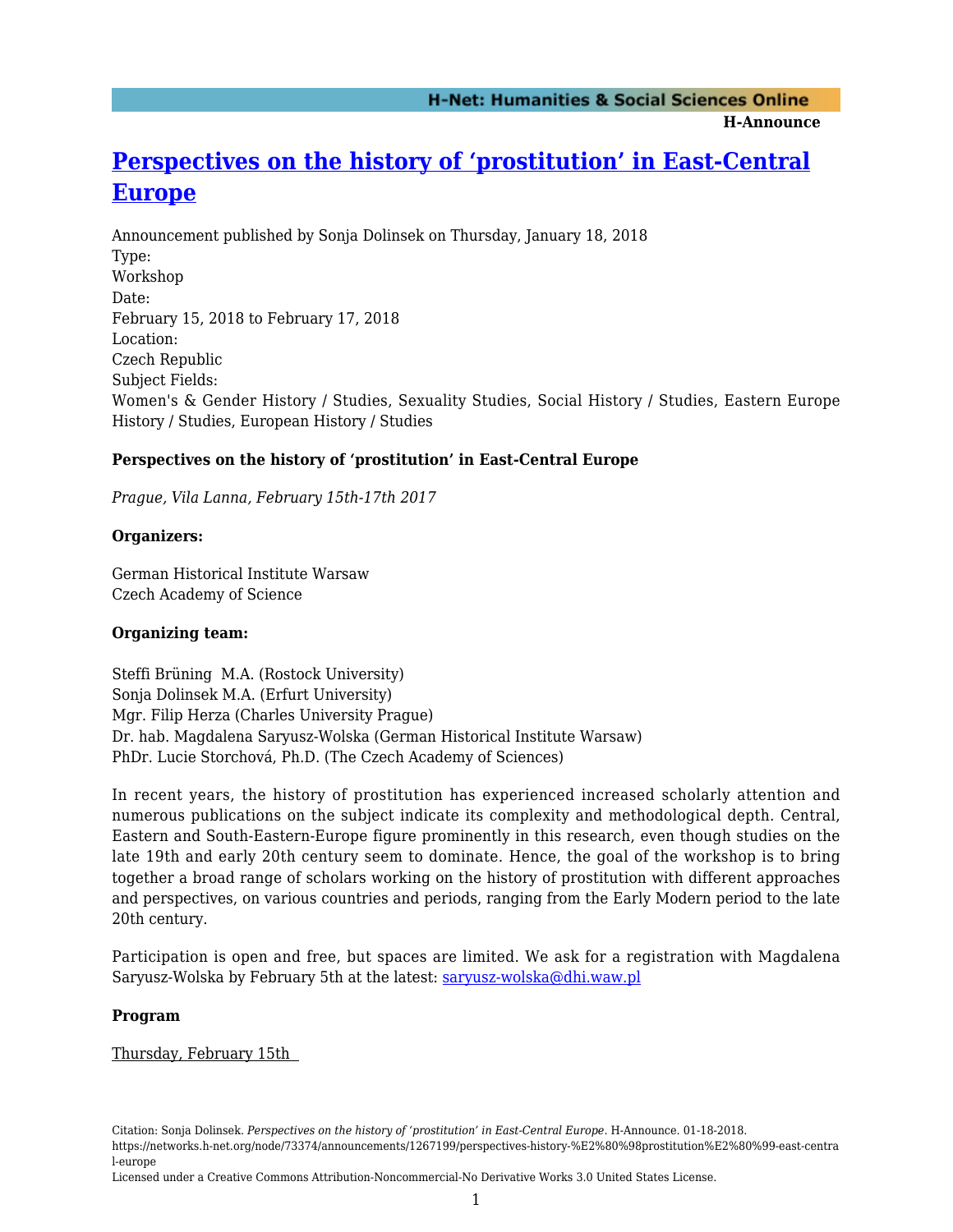**H-Announce** 

## **[Perspectives on the history of 'prostitution' in East-Central](https://networks.h-net.org/node/73374/announcements/1267199/perspectives-history-%E2%80%98prostitution%E2%80%99-east-central-europe) [Europe](https://networks.h-net.org/node/73374/announcements/1267199/perspectives-history-%E2%80%98prostitution%E2%80%99-east-central-europe)**

Announcement published by Sonja Dolinsek on Thursday, January 18, 2018 Type: Workshop Date: February 15, 2018 to February 17, 2018 Location: Czech Republic Subject Fields: Women's & Gender History / Studies, Sexuality Studies, Social History / Studies, Eastern Europe History / Studies, European History / Studies

#### **Perspectives on the history of 'prostitution' in East-Central Europe**

*Prague, Vila Lanna, February 15th-17th 2017*

#### **Organizers:**

German Historical Institute Warsaw Czech Academy of Science

#### **Organizing team:**

Steffi Brüning M.A. (Rostock University) Sonja Dolinsek M.A. (Erfurt University) Mgr. Filip Herza (Charles University Prague) Dr. hab. Magdalena Saryusz-Wolska (German Historical Institute Warsaw) PhDr. Lucie Storchová, Ph.D. (The Czech Academy of Sciences)

In recent years, the history of prostitution has experienced increased scholarly attention and numerous publications on the subject indicate its complexity and methodological depth. Central, Eastern and South-Eastern-Europe figure prominently in this research, even though studies on the late 19th and early 20th century seem to dominate. Hence, the goal of the workshop is to bring together a broad range of scholars working on the history of prostitution with different approaches and perspectives, on various countries and periods, ranging from the Early Modern period to the late 20th century.

Participation is open and free, but spaces are limited. We ask for a registration with Magdalena Saryusz-Wolska by February 5th at the latest: [saryusz-wolska@dhi.waw.pl](mailto:saryusz-wolska@dhi.waw.pl)

#### **Program**

Thursday, February 15th

Citation: Sonja Dolinsek. *Perspectives on the history of 'prostitution' in East-Central Europe*. H-Announce. 01-18-2018. https://networks.h-net.org/node/73374/announcements/1267199/perspectives-history-%E2%80%98prostitution%E2%80%99-east-centra l-europe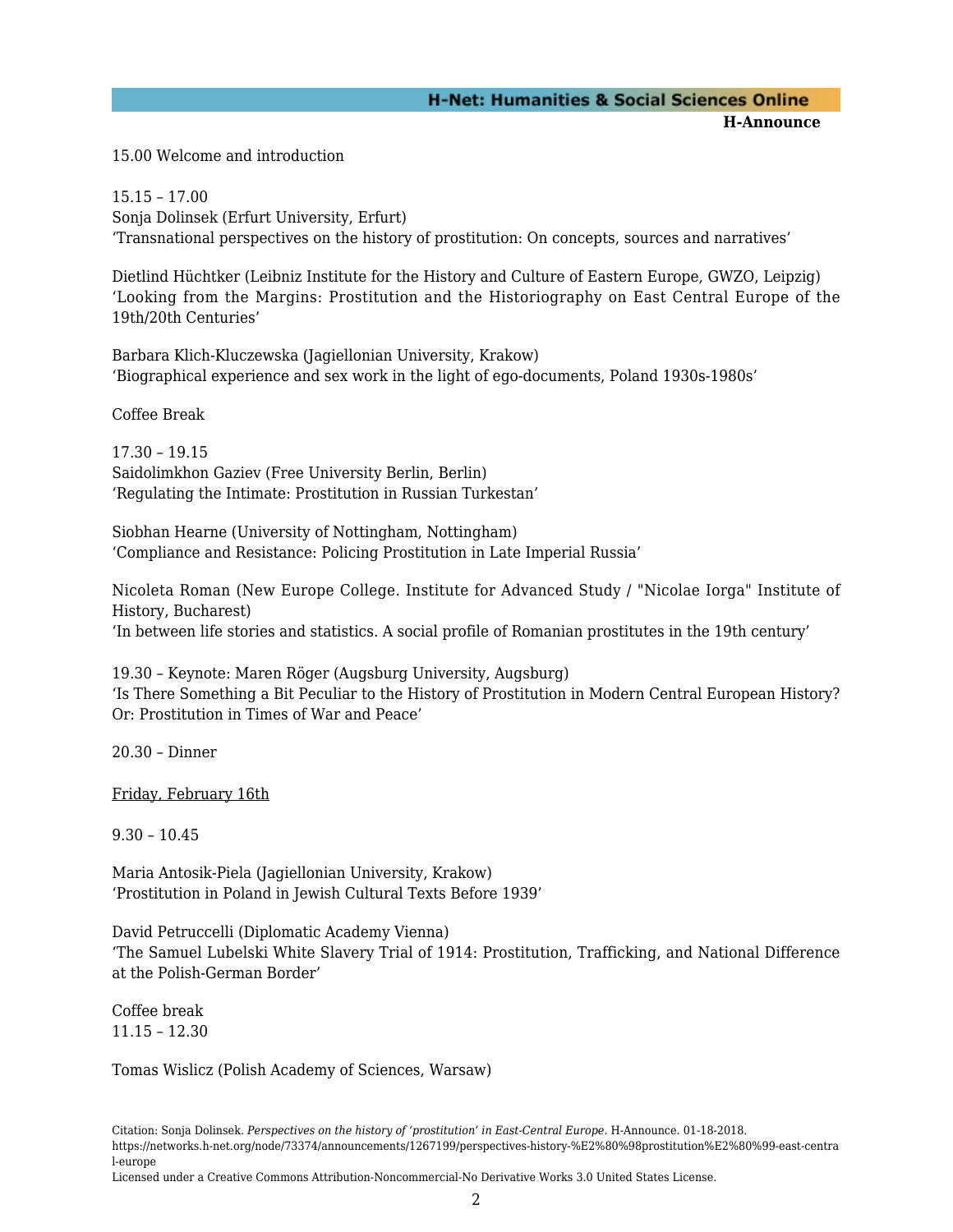### **H-Net: Humanities & Social Sciences Online**

**H-Announce** 

15.00 Welcome and introduction

15.15 – 17.00 Sonja Dolinsek (Erfurt University, Erfurt) 'Transnational perspectives on the history of prostitution: On concepts, sources and narratives'

Dietlind Hüchtker (Leibniz Institute for the History and Culture of Eastern Europe, GWZO, Leipzig) 'Looking from the Margins: Prostitution and the Historiography on East Central Europe of the 19th/20th Centuries'

Barbara Klich-Kluczewska (Jagiellonian University, Krakow) 'Biographical experience and sex work in the light of ego-documents, Poland 1930s-1980s'

Coffee Break

17.30 – 19.15 Saidolimkhon Gaziev (Free University Berlin, Berlin) 'Regulating the Intimate: Prostitution in Russian Turkestan'

Siobhan Hearne (University of Nottingham, Nottingham) 'Compliance and Resistance: Policing Prostitution in Late Imperial Russia'

Nicoleta Roman (New Europe College. Institute for Advanced Study / "Nicolae Iorga" Institute of History, Bucharest) 'In between life stories and statistics. A social profile of Romanian prostitutes in the 19th century'

19.30 – Keynote: Maren Röger (Augsburg University, Augsburg) 'Is There Something a Bit Peculiar to the History of Prostitution in Modern Central European History? Or: Prostitution in Times of War and Peace'

20.30 – Dinner

Friday, February 16th

9.30 – 10.45

Maria Antosik-Piela (Jagiellonian University, Krakow) 'Prostitution in Poland in Jewish Cultural Texts Before 1939'

David Petruccelli (Diplomatic Academy Vienna) 'The Samuel Lubelski White Slavery Trial of 1914: Prostitution, Trafficking, and National Difference at the Polish-German Border'

Coffee break 11.15 – 12.30

Tomas Wislicz (Polish Academy of Sciences, Warsaw)

Citation: Sonja Dolinsek. *Perspectives on the history of 'prostitution' in East-Central Europe*. H-Announce. 01-18-2018. https://networks.h-net.org/node/73374/announcements/1267199/perspectives-history-%E2%80%98prostitution%E2%80%99-east-centra l-europe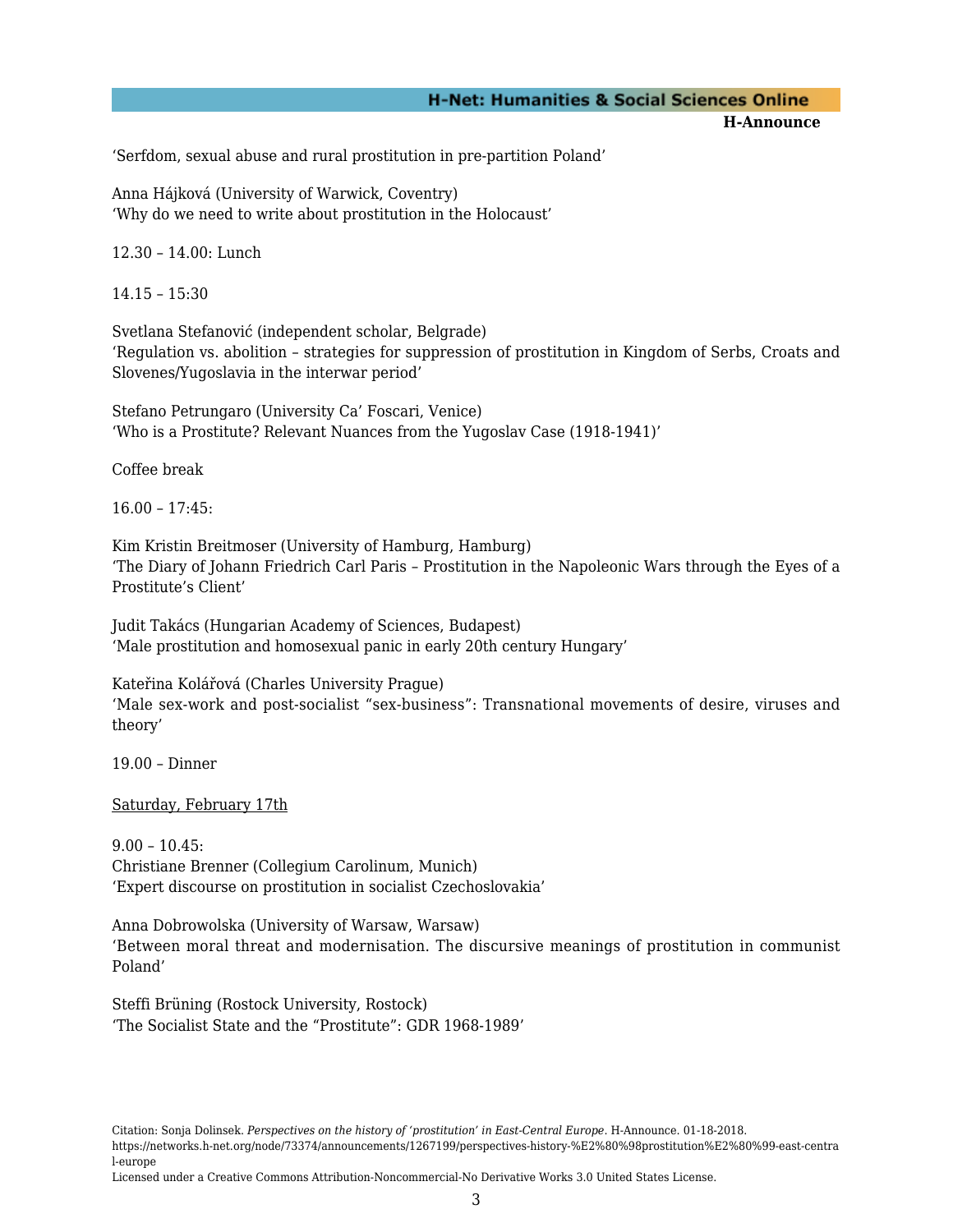#### **H-Net: Humanities & Social Sciences Online**

**H-Announce** 

'Serfdom, sexual abuse and rural prostitution in pre-partition Poland'

Anna Hájková (University of Warwick, Coventry) 'Why do we need to write about prostitution in the Holocaust'

12.30 – 14.00: Lunch

14.15 – 15:30

Svetlana Stefanović (independent scholar, Belgrade) 'Regulation vs. abolition – strategies for suppression of prostitution in Kingdom of Serbs, Croats and Slovenes/Yugoslavia in the interwar period'

Stefano Petrungaro (University Ca' Foscari, Venice) 'Who is a Prostitute? Relevant Nuances from the Yugoslav Case (1918-1941)'

Coffee break

16.00 – 17:45:

Kim Kristin Breitmoser (University of Hamburg, Hamburg) 'The Diary of Johann Friedrich Carl Paris – Prostitution in the Napoleonic Wars through the Eyes of a Prostitute's Client'

Judit Takács (Hungarian Academy of Sciences, Budapest) 'Male prostitution and homosexual panic in early 20th century Hungary'

Kateřina Kolářová (Charles University Prague) 'Male sex-work and post-socialist "sex-business": Transnational movements of desire, viruses and theory'

19.00 – Dinner

Saturday, February 17th

9.00 – 10.45: Christiane Brenner (Collegium Carolinum, Munich) 'Expert discourse on prostitution in socialist Czechoslovakia'

Anna Dobrowolska (University of Warsaw, Warsaw) 'Between moral threat and modernisation. The discursive meanings of prostitution in communist Poland'

Steffi Brüning (Rostock University, Rostock) 'The Socialist State and the "Prostitute": GDR 1968-1989'